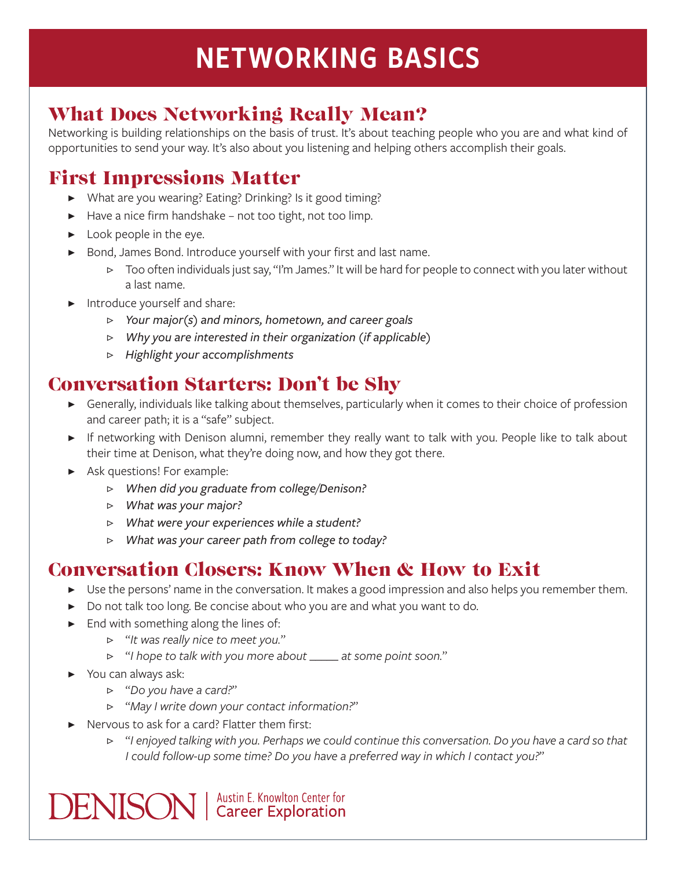# NETWORKING BASICS

## What Does Networking Really Mean?

Networking is building relationships on the basis of trust. It's about teaching people who you are and what kind of opportunities to send your way. It's also about you listening and helping others accomplish their goals.

## First Impressions Matter

- ▶ What are you wearing? Eating? Drinking? Is it good timing?
- $\blacktriangleright$  Have a nice firm handshake not too tight, not too limp.
- $\blacktriangleright$  Look people in the eye.
- ▶ Bond, James Bond. Introduce yourself with your first and last name.
	- ▷ Too often individuals just say, "I'm James." It will be hard for people to connect with you later without a last name.
- Introduce yourself and share:
	- ▷ *Your major(s) and minors, hometown, and career goals*
	- ▷ *Why you are interested in their organization (if applicable)*
	- ▷ *Highlight your accomplishments*

#### Conversation Starters: Don't be Shy

- ▶ Generally, individuals like talking about themselves, particularly when it comes to their choice of profession and career path; it is a "safe" subject.
- ▶ If networking with Denison alumni, remember they really want to talk with you. People like to talk about their time at Denison, what they're doing now, and how they got there.
- ▶ Ask questions! For example:
	- ▷ *When did you graduate from college/Denison?*
	- ▷ *What was your major?*
	- ▷ *What were your experiences while a student?*
	- ▷ *What was your career path from college to today?*

#### Conversation Closers: Know When & How to Exit

- ▶ Use the persons' name in the conversation. It makes a good impression and also helps you remember them.
- ▶ Do not talk too long. Be concise about who you are and what you want to do.
- ▶ End with something along the lines of:
	- ▷ "*It was really nice to meet you.*"
	- ▷ "*I hope to talk with you more about \_\_\_\_\_ at some point soon.*"
- ▶ You can always ask:
	- ▷ "*Do you have a card?*"
	- ▷ "*May I write down your contact information?*"
- ▶ Nervous to ask for a card? Flatter them first:

**DENISON** | Austin E. Knowlton Center for

▷ "*I enjoyed talking with you. Perhaps we could continue this conversation. Do you have a card so that I could follow-up some time? Do you have a preferred way in which I contact you?*"